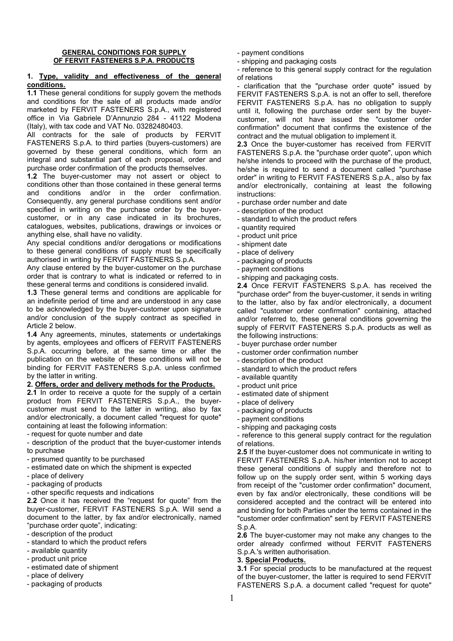#### **GENERAL CONDITIONS FOR SUPPLY OF FERVIT FASTENERS S.P.A. PRODUCTS**

#### **1. Type, validity and effectiveness of the general conditions.**

**1.1** These general conditions for supply govern the methods and conditions for the sale of all products made and/or marketed by FERVIT FASTENERS S.p.A., with registered office in Via Gabriele D'Annunzio 284 - 41122 Modena (Italy), with tax code and VAT No. 03282480403.

All contracts for the sale of products by FERVIT FASTENERS S.p.A. to third parties (buyers-customers) are governed by these general conditions, which form an integral and substantial part of each proposal, order and purchase order confirmation of the products themselves.

**1.2** The buyer-customer may not assert or object to conditions other than those contained in these general terms and conditions and/or in the order confirmation. Consequently, any general purchase conditions sent and/or specified in writing on the purchase order by the buyercustomer, or in any case indicated in its brochures, catalogues, websites, publications, drawings or invoices or anything else, shall have no validity.

Any special conditions and/or derogations or modifications to these general conditions of supply must be specifically authorised in writing by FERVIT FASTENERS S.p.A.

Any clause entered by the buyer-customer on the purchase order that is contrary to what is indicated or referred to in these general terms and conditions is considered invalid.

**1.3** These general terms and conditions are applicable for an indefinite period of time and are understood in any case to be acknowledged by the buyer-customer upon signature and/or conclusion of the supply contract as specified in Article 2 below.

**1.4** Any agreements, minutes, statements or undertakings by agents, employees and officers of FERVIT FASTENERS S.p.A. occurring before, at the same time or after the publication on the website of these conditions will not be binding for FERVIT FASTENERS S.p.A. unless confirmed by the latter in writing.

## **2. Offers, order and delivery methods for the Products.**

**2.1** In order to receive a quote for the supply of a certain product from FERVIT FASTENERS S.p.A., the buyercustomer must send to the latter in writing, also by fax and/or electronically, a document called "request for quote" containing at least the following information:

- request for quote number and date

- description of the product that the buyer-customer intends to purchase

- presumed quantity to be purchased
- estimated date on which the shipment is expected
- place of delivery
- packaging of products
- other specific requests and indications

**2.2** Once it has received the "request for quote" from the buyer-customer, FERVIT FASTENERS S.p.A. Will send a document to the latter, by fax and/or electronically, named "purchase order quote", indicating:

- description of the product
- standard to which the product refers
- available quantity
- product unit price
- estimated date of shipment
- place of delivery
- packaging of products
- payment conditions
- shipping and packaging costs

- reference to this general supply contract for the regulation of relations

- clarification that the "purchase order quote" issued by FERVIT FASTENERS S.p.A. is not an offer to sell, therefore FERVIT FASTENERS S.p.A. has no obligation to supply until it, following the purchase order sent by the buyercustomer, will not have issued the "customer order confirmation" document that confirms the existence of the contract and the mutual obligation to implement it.

**2.3** Once the buyer-customer has received from FERVIT FASTENERS S.p.A. the "purchase order quote", upon which he/she intends to proceed with the purchase of the product, he/she is required to send a document called "purchase order" in writing to FERVIT FASTENERS S.p.A., also by fax and/or electronically, containing at least the following instructions:

- purchase order number and date
- description of the product
- standard to which the product refers
- quantity required
- product unit price
- shipment date
- place of delivery
- packaging of products
- payment conditions
- shipping and packaging costs.

**2.4** Once FERVIT FASTENERS S.p.A. has received the "purchase order" from the buyer-customer, it sends in writing to the latter, also by fax and/or electronically, a document called "customer order confirmation" containing, attached and/or referred to, these general conditions governing the supply of FERVIT FASTENERS S.p.A. products as well as the following instructions:

- buyer purchase order number
- customer order confirmation number
- description of the product
- standard to which the product refers
- available quantity
- product unit price
- estimated date of shipment
- place of delivery
- packaging of products
- payment conditions
- shipping and packaging costs

- reference to this general supply contract for the regulation of relations.

**2.5** If the buyer-customer does not communicate in writing to FERVIT FASTENERS S.p.A. his/her intention not to accept these general conditions of supply and therefore not to follow up on the supply order sent, within 5 working days from receipt of the "customer order confirmation" document, even by fax and/or electronically, these conditions will be considered accepted and the contract will be entered into and binding for both Parties under the terms contained in the "customer order confirmation" sent by FERVIT FASTENERS S.p.A.

**2.6** The buyer-customer may not make any changes to the order already confirmed without FERVIT FASTENERS S.p.A.'s written authorisation.

## **3. Special Products.**

**3.1** For special products to be manufactured at the request of the buyer-customer, the latter is required to send FERVIT FASTENERS S.p.A. a document called "request for quote"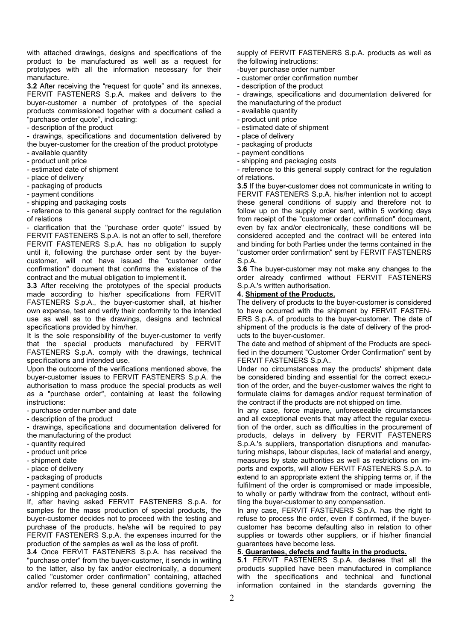with attached drawings, designs and specifications of the product to be manufactured as well as a request for prototypes with all the information necessary for their manufacture.

**3.2** After receiving the "request for quote" and its annexes, FERVIT FASTENERS S.p.A. makes and delivers to the buyer-customer a number of prototypes of the special products commissioned together with a document called a "purchase order quote", indicating:

- description of the product

- drawings, specifications and documentation delivered by the buyer-customer for the creation of the product prototype

- available quantity

- product unit price
- estimated date of shipment
- place of delivery
- packaging of products
- payment conditions
- shipping and packaging costs

- reference to this general supply contract for the regulation of relations

- clarification that the "purchase order quote" issued by FERVIT FASTENERS S.p.A. is not an offer to sell, therefore FERVIT FASTENERS S.p.A. has no obligation to supply until it, following the purchase order sent by the buyercustomer, will not have issued the "customer order confirmation" document that confirms the existence of the contract and the mutual obligation to implement it.

**3.3** After receiving the prototypes of the special products made according to his/her specifications from FERVIT FASTENERS S.p.A., the buyer-customer shall, at his/her own expense, test and verify their conformity to the intended use as well as to the drawings, designs and technical specifications provided by him/her.

It is the sole responsibility of the buyer-customer to verify that the special products manufactured by FERVIT FASTENERS S.p.A. comply with the drawings, technical specifications and intended use.

Upon the outcome of the verifications mentioned above, the buyer-customer issues to FERVIT FASTENERS S.p.A. the authorisation to mass produce the special products as well as a "purchase order", containing at least the following instructions:

- purchase order number and date

- description of the product

- drawings, specifications and documentation delivered for the manufacturing of the product

- quantity required
- product unit price
- shipment date
- place of delivery
- packaging of products
- payment conditions
- shipping and packaging costs.

If, after having asked FERVIT FASTENERS S.p.A. for samples for the mass production of special products, the buyer-customer decides not to proceed with the testing and purchase of the products, he/she will be required to pay FERVIT FASTENERS S.p.A. the expenses incurred for the production of the samples as well as the loss of profit.

**3.4** Once FERVIT FASTENERS S.p.A. has received the "purchase order" from the buyer-customer, it sends in writing to the latter, also by fax and/or electronically, a document called "customer order confirmation" containing, attached and/or referred to, these general conditions governing the supply of FERVIT FASTENERS S.p.A. products as well as the following instructions:

-buyer purchase order number

- customer order confirmation number
- description of the product

- drawings, specifications and documentation delivered for the manufacturing of the product

- available quantity
- product unit price
- estimated date of shipment
- place of delivery
- packaging of products
- payment conditions
- shipping and packaging costs
- reference to this general supply contract for the regulation of relations.

**3.5** If the buyer-customer does not communicate in writing to FERVIT FASTENERS S.p.A. his/her intention not to accept these general conditions of supply and therefore not to follow up on the supply order sent, within 5 working days from receipt of the "customer order confirmation" document, even by fax and/or electronically, these conditions will be considered accepted and the contract will be entered into and binding for both Parties under the terms contained in the "customer order confirmation" sent by FERVIT FASTENERS S.p.A.

**3.6** The buyer-customer may not make any changes to the order already confirmed without FERVIT FASTENERS S.p.A.'s written authorisation.

### **4. Shipment of the Products.**

The delivery of products to the buyer-customer is considered to have occurred with the shipment by FERVIT FASTEN-ERS S.p.A. of products to the buyer-customer. The date of shipment of the products is the date of delivery of the products to the buyer-customer.

The date and method of shipment of the Products are specified in the document "Customer Order Confirmation" sent by FERVIT FASTENERS S.p.A..

Under no circumstances may the products' shipment date be considered binding and essential for the correct execution of the order, and the buyer-customer waives the right to formulate claims for damages and/or request termination of the contract if the products are not shipped on time.

In any case, force majeure, unforeseeable circumstances and all exceptional events that may affect the regular execution of the order, such as difficulties in the procurement of products, delays in delivery by FERVIT FASTENERS S.p.A.'s suppliers, transportation disruptions and manufacturing mishaps, labour disputes, lack of material and energy, measures by state authorities as well as restrictions on imports and exports, will allow FERVIT FASTENERS S.p.A. to extend to an appropriate extent the shipping terms or, if the fulfilment of the order is compromised or made impossible, to wholly or partly withdraw from the contract, without entitling the buyer-customer to any compensation.

In any case, FERVIT FASTENERS S.p.A. has the right to refuse to process the order, even if confirmed, if the buyercustomer has become defaulting also in relation to other supplies or towards other suppliers, or if his/her financial guarantees have become less.

### **5. Guarantees, defects and faults in the products.**

**5.1** FERVIT FASTENERS S.p.A. declares that all the products supplied have been manufactured in compliance with the specifications and technical and functional information contained in the standards governing the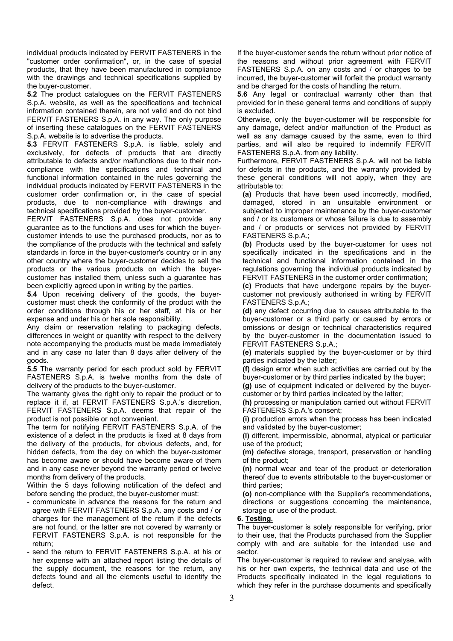individual products indicated by FERVIT FASTENERS in the "customer order confirmation", or, in the case of special products, that they have been manufactured in compliance with the drawings and technical specifications supplied by the buyer-customer.

**5.2** The product catalogues on the FERVIT FASTENERS S.p.A. website, as well as the specifications and technical information contained therein, are not valid and do not bind FERVIT FASTENERS S.p.A. in any way. The only purpose of inserting these catalogues on the FERVIT FASTENERS S.p.A. website is to advertise the products.

**5.3** FERVIT FASTENERS S.p.A. is liable, solely and exclusively, for defects of products that are directly attributable to defects and/or malfunctions due to their noncompliance with the specifications and technical and functional information contained in the rules governing the individual products indicated by FERVIT FASTENERS in the customer order confirmation or, in the case of special products, due to non-compliance with drawings and technical specifications provided by the buyer-customer.

FERVIT FASTENERS S.p.A. does not provide any guarantee as to the functions and uses for which the buyercustomer intends to use the purchased products, nor as to the compliance of the products with the technical and safety standards in force in the buyer-customer's country or in any other country where the buyer-customer decides to sell the products or the various products on which the buyercustomer has installed them, unless such a guarantee has been explicitly agreed upon in writing by the parties.

**5.4** Upon receiving delivery of the goods, the buyercustomer must check the conformity of the product with the order conditions through his or her staff, at his or her expense and under his or her sole responsibility.

Any claim or reservation relating to packaging defects, differences in weight or quantity with respect to the delivery note accompanying the products must be made immediately and in any case no later than 8 days after delivery of the goods.

**5.5** The warranty period for each product sold by FERVIT FASTENERS S.p.A. is twelve months from the date of delivery of the products to the buyer-customer.

The warranty gives the right only to repair the product or to replace it if, at FERVIT FASTENERS S.p.A.'s discretion, FERVIT FASTENERS S.p.A. deems that repair of the product is not possible or not convenient.

The term for notifying FERVIT FASTENERS S.p.A. of the existence of a defect in the products is fixed at 8 days from the delivery of the products, for obvious defects, and, for hidden defects, from the day on which the buyer-customer has become aware or should have become aware of them and in any case never beyond the warranty period or twelve months from delivery of the products.

Within the 5 days following notification of the defect and before sending the product, the buyer-customer must:

- communicate in advance the reasons for the return and agree with FERVIT FASTENERS S.p.A. any costs and / or charges for the management of the return if the defects are not found, or the latter are not covered by warranty or FERVIT FASTENERS S.p.A. is not responsible for the return;
- send the return to FERVIT FASTENERS S.p.A. at his or her expense with an attached report listing the details of the supply document, the reasons for the return, any defects found and all the elements useful to identify the defect.

If the buyer-customer sends the return without prior notice of the reasons and without prior agreement with FERVIT FASTENERS S.p.A. on any costs and / or charges to be incurred, the buyer-customer will forfeit the product warranty and be charged for the costs of handling the return.

**5.6** Any legal or contractual warranty other than that provided for in these general terms and conditions of supply is excluded.

Otherwise, only the buyer-customer will be responsible for any damage, defect and/or malfunction of the Product as well as any damage caused by the same, even to third parties, and will also be required to indemnify FERVIT FASTENERS S.p.A. from any liability.

Furthermore, FERVIT FASTENERS S.p.A. will not be liable for defects in the products, and the warranty provided by these general conditions will not apply, when they are attributable to:

**(a)** Products that have been used incorrectly, modified, damaged, stored in an unsuitable environment or subjected to improper maintenance by the buyer-customer and / or its customers or whose failure is due to assembly and / or products or services not provided by FERVIT FASTENERS S.p.A.;

**(b)** Products used by the buyer-customer for uses not specifically indicated in the specifications and in the technical and functional information contained in the regulations governing the individual products indicated by FERVIT FASTENERS in the customer order confirmation;

**(c)** Products that have undergone repairs by the buyercustomer not previously authorised in writing by FERVIT FASTENERS S.p.A.;

**(d)** any defect occurring due to causes attributable to the buyer-customer or a third party or caused by errors or omissions or design or technical characteristics required by the buyer-customer in the documentation issued to FERVIT FASTENERS S.p.A.;

**(e)** materials supplied by the buyer-customer or by third parties indicated by the latter;

**(f)** design error when such activities are carried out by the buyer-customer or by third parties indicated by the buyer;

**(g)** use of equipment indicated or delivered by the buyercustomer or by third parties indicated by the latter;

**(h)** processing or manipulation carried out without FERVIT FASTENERS S.p.A.'s consent;

**(i)** production errors when the process has been indicated and validated by the buyer-customer;

**(l)** different, impermissible, abnormal, atypical or particular use of the product;

**(m)** defective storage, transport, preservation or handling of the product;

**(n)** normal wear and tear of the product or deterioration thereof due to events attributable to the buyer-customer or third parties;

**(o)** non-compliance with the Supplier's recommendations, directions or suggestions concerning the maintenance, storage or use of the product.

## **6. Testing.**

The buyer-customer is solely responsible for verifying, prior to their use, that the Products purchased from the Supplier comply with and are suitable for the intended use and sector.

The buyer-customer is required to review and analyse, with his or her own experts, the technical data and use of the Products specifically indicated in the legal regulations to which they refer in the purchase documents and specifically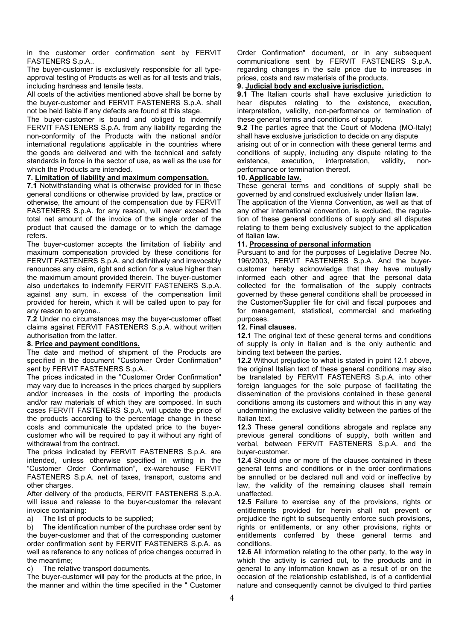in the customer order confirmation sent by FERVIT FASTENERS S.p.A..

The buyer-customer is exclusively responsible for all typeapproval testing of Products as well as for all tests and trials, including hardness and tensile tests.

All costs of the activities mentioned above shall be borne by the buyer-customer and FERVIT FASTENERS S.p.A. shall not be held liable if any defects are found at this stage.

The buyer-customer is bound and obliged to indemnify FERVIT FASTENERS S.p.A. from any liability regarding the non-conformity of the Products with the national and/or international regulations applicable in the countries where the goods are delivered and with the technical and safety standards in force in the sector of use, as well as the use for which the Products are intended.

# **7. Limitation of liability and maximum compensation.**

**7.1** Notwithstanding what is otherwise provided for in these general conditions or otherwise provided by law, practice or otherwise, the amount of the compensation due by FERVIT FASTENERS S.p.A. for any reason, will never exceed the total net amount of the invoice of the single order of the product that caused the damage or to which the damage refers.

The buyer-customer accepts the limitation of liability and maximum compensation provided by these conditions for FERVIT FASTENERS S.p.A. and definitively and irrevocably renounces any claim, right and action for a value higher than the maximum amount provided therein. The buyer-customer also undertakes to indemnify FERVIT FASTENERS S.p.A. against any sum, in excess of the compensation limit provided for herein, which it will be called upon to pay for any reason to anyone..

**7.2** Under no circumstances may the buyer-customer offset claims against FERVIT FASTENERS S.p.A. without written authorisation from the latter.

## **8. Price and payment conditions.**

The date and method of shipment of the Products are specified in the document "Customer Order Confirmation" sent by FERVIT FASTENERS S.p.A..

The prices indicated in the "Customer Order Confirmation" may vary due to increases in the prices charged by suppliers and/or increases in the costs of importing the products and/or raw materials of which they are composed. In such cases FERVIT FASTENERS S.p.A. will update the price of the products according to the percentage change in these costs and communicate the updated price to the buyercustomer who will be required to pay it without any right of withdrawal from the contract.

The prices indicated by FERVIT FASTENERS S.p.A. are intended, unless otherwise specified in writing in the "Customer Order Confirmation", ex-warehouse FERVIT FASTENERS S.p.A. net of taxes, transport, customs and other charges.

After delivery of the products, FERVIT FASTENERS S.p.A. will issue and release to the buyer-customer the relevant invoice containing:

a) The list of products to be supplied;

b) The identification number of the purchase order sent by the buyer-customer and that of the corresponding customer order confirmation sent by FERVIT FASTENERS S.p.A. as well as reference to any notices of price changes occurred in the meantime;

c) The relative transport documents.

The buyer-customer will pay for the products at the price, in the manner and within the time specified in the " Customer

Order Confirmation" document, or in any subsequent communications sent by FERVIT FASTENERS S.p.A. regarding changes in the sale price due to increases in prices, costs and raw materials of the products.

## **9. Judicial body and exclusive jurisdiction.**

**9.1** The Italian courts shall have exclusive jurisdiction to hear disputes relating to the existence, execution, interpretation, validity, non-performance or termination of these general terms and conditions of supply.

**9.2** The parties agree that the Court of Modena (MO-Italy) shall have exclusive jurisdiction to decide on any dispute

arising out of or in connection with these general terms and conditions of supply, including any dispute relating to the existence, execution, interpretation, validity, nonexistence, execution, interpretation, validity, nonperformance or termination thereof.

## **10. Applicable law.**

These general terms and conditions of supply shall be governed by and construed exclusively under Italian law.

The application of the Vienna Convention, as well as that of any other international convention, is excluded, the regulation of these general conditions of supply and all disputes relating to them being exclusively subject to the application of Italian law.

## **11. Processing of personal information**

Pursuant to and for the purposes of Legislative Decree No. 196/2003, FERVIT FASTENERS S.p.A. And the buyercustomer hereby acknowledge that they have mutually informed each other and agree that the personal data collected for the formalisation of the supply contracts governed by these general conditions shall be processed in the Customer/Supplier file for civil and fiscal purposes and for management, statistical, commercial and marketing purposes.

## **12. Final clauses.**

**12.1** The original text of these general terms and conditions of supply is only in Italian and is the only authentic and binding text between the parties.

**12.2** Without prejudice to what is stated in point 12.1 above, the original Italian text of these general conditions may also be translated by FERVIT FASTENERS S.p.A. into other foreign languages for the sole purpose of facilitating the dissemination of the provisions contained in these general conditions among its customers and without this in any way undermining the exclusive validity between the parties of the Italian text.

**12.3** These general conditions abrogate and replace any previous general conditions of supply, both written and verbal, between FERVIT FASTENERS S.p.A. and the buyer-customer.

**12.4** Should one or more of the clauses contained in these general terms and conditions or in the order confirmations be annulled or be declared null and void or ineffective by law, the validity of the remaining clauses shall remain unaffected.

**12.5** Failure to exercise any of the provisions, rights or entitlements provided for herein shall not prevent or prejudice the right to subsequently enforce such provisions, rights or entitlements, or any other provisions, rights or entitlements conferred by these general terms and conditions.

**12.6** All information relating to the other party, to the way in which the activity is carried out, to the products and in general to any information known as a result of or on the occasion of the relationship established, is of a confidential nature and consequently cannot be divulged to third parties